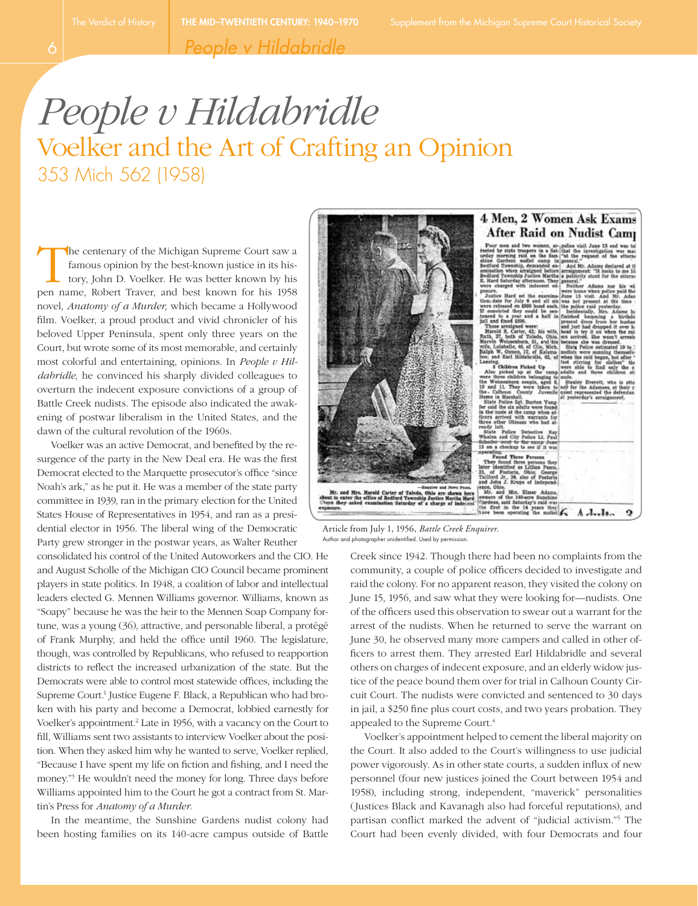# *People v Hildabridle* Voelker and the Art of Crafting an Opinion 353 Mich 562 (1958)

The centenary of the Michigan Supreme Court saw a<br>famous opinion by the best-known justice in its his-<br>tory, John D. Voelker. He was better known by his<br>pen name. Robert Traver, and best-known for his 1958 famous opinion by the best-known justice in its history, John D. Voelker. He was better known by his pen name, Robert Traver, and best known for his 1958 novel, *Anatomy of a Murder,* which became a Hollywood film. Voelker, a proud product and vivid chronicler of his beloved Upper Peninsula, spent only three years on the Court, but wrote some of its most memorable, and certainly most colorful and entertaining, opinions. In *People v Hildabridle,* he convinced his sharply divided colleagues to overturn the indecent exposure convictions of a group of Battle Creek nudists. The episode also indicated the awakening of postwar liberalism in the United States, and the dawn of the cultural revolution of the 1960s.

Voelker was an active Democrat, and benefited by the resurgence of the party in the New Deal era. He was the first Democrat elected to the Marquette prosecutor's office "since Noah's ark," as he put it. He was a member of the state party committee in 1939, ran in the primary election for the United States House of Representatives in 1954, and ran as a presidential elector in 1956. The liberal wing of the Democratic Party grew stronger in the postwar years, as Walter Reuther

consolidated his control of the United Autoworkers and the CIO. He and August Scholle of the Michigan CIO Council became prominent players in state politics. In 1948, a coalition of labor and intellectual leaders elected G. Mennen Williams governor. Williams, known as "Soapy" because he was the heir to the Mennen Soap Company fortune, was a young (36), attractive, and personable liberal, a protégé of Frank Murphy, and held the office until 1960. The legislature, though, was controlled by Republicans, who refused to reapportion districts to reflect the increased urbanization of the state. But the Democrats were able to control most statewide offices, including the Supreme Court.<sup>1</sup> Justice Eugene F. Black, a Republican who had broken with his party and become a Democrat, lobbied earnestly for Voelker's appointment.<sup>2</sup> Late in 1956, with a vacancy on the Court to fill, Williams sent two assistants to interview Voelker about the position. When they asked him why he wanted to serve, Voelker replied, "Because I have spent my life on fiction and fishing, and I need the money."3 He wouldn't need the money for long. Three days before Williams appointed him to the Court he got a contract from St. Martin's Press for *Anatomy of a Murder.*

In the meantime, the Sunshine Gardens nudist colony had been hosting families on its 140-acre campus outside of Battle



Article from July 1, 1956, *Battle Creek Enquirer.* Author and photographer unidentified. Used by permission.

Creek since 1942. Though there had been no complaints from the community, a couple of police officers decided to investigate and raid the colony. For no apparent reason, they visited the colony on June 15, 1956, and saw what they were looking for—nudists. One of the officers used this observation to swear out a warrant for the arrest of the nudists. When he returned to serve the warrant on June 30, he observed many more campers and called in other officers to arrest them. They arrested Earl Hildabridle and several others on charges of indecent exposure, and an elderly widow justice of the peace bound them over for trial in Calhoun County Circuit Court. The nudists were convicted and sentenced to 30 days in jail, a \$250 fine plus court costs, and two years probation. They appealed to the Supreme Court.<sup>4</sup>

Voelker's appointment helped to cement the liberal majority on the Court. It also added to the Court's willingness to use judicial power vigorously. As in other state courts, a sudden influx of new personnel (four new justices joined the Court between 1954 and 1958), including strong, independent, "maverick" personalities (Justices Black and Kavanagh also had forceful reputations), and partisan conflict marked the advent of "judicial activism."5 The Court had been evenly divided, with four Democrats and four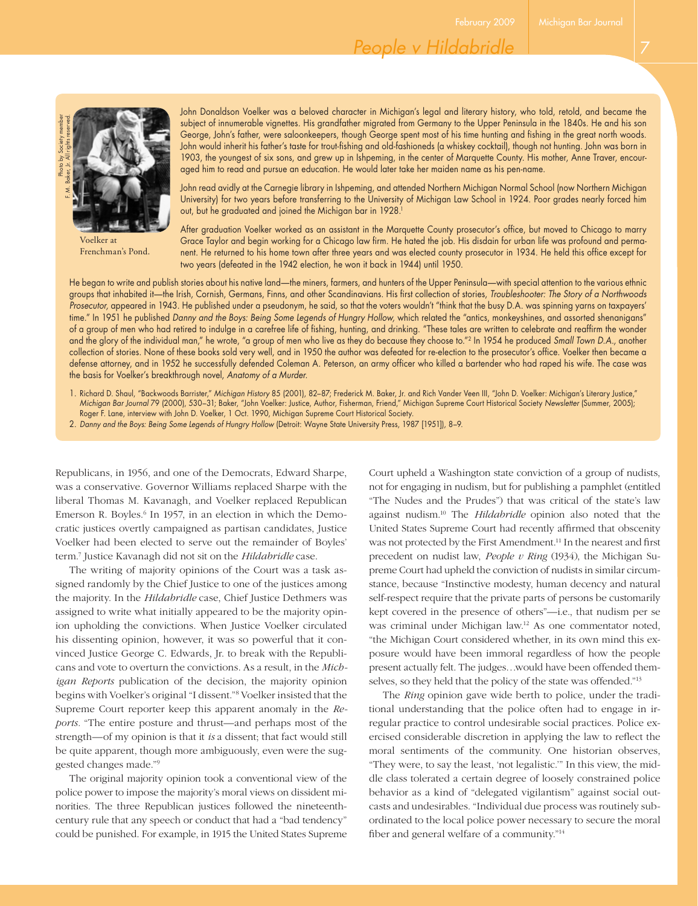

Voelker at Frenchman's Pond.

John Donaldson Voelker was a beloved character in Michigan's legal and literary history, who told, retold, and became the subject of innumerable vignettes. His grandfather migrated from Germany to the Upper Peninsula in the 1840s. He and his son George, John's father, were saloonkeepers, though George spent most of his time hunting and fishing in the great north woods. John would inherit his father's taste for trout-fishing and old-fashioneds (a whiskey cocktail), though not hunting. John was born in 1903, the youngest of six sons, and grew up in Ishpeming, in the center of Marquette County. His mother, Anne Traver, encouraged him to read and pursue an education. He would later take her maiden name as his pen-name.

John read avidly at the Carnegie library in Ishpeming, and attended Northern Michigan Normal School (now Northern Michigan University) for two years before transferring to the University of Michigan Law School in 1924. Poor grades nearly forced him out, but he graduated and joined the Michigan bar in 1928.<sup>1</sup>

After graduation Voelker worked as an assistant in the Marquette County prosecutor's office, but moved to Chicago to marry Grace Taylor and begin working for a Chicago law firm. He hated the job. His disdain for urban life was profound and permanent. He returned to his home town after three years and was elected county prosecutor in 1934. He held this office except for two years (defeated in the 1942 election, he won it back in 1944) until 1950.

He began to write and publish stories about his native land—the miners, farmers, and hunters of the Upper Peninsula—with special attention to the various ethnic groups that inhabited it—the Irish, Cornish, Germans, Finns, and other Scandinavians. His first collection of stories, *Troubleshooter: The Story of a Northwoods Prosecutor,* appeared in 1943. He published under a pseudonym, he said, so that the voters wouldn't "think that the busy D.A. was spinning yarns on taxpayers' time." In 1951 he published Danny and the Boys: Being Some Legends of Hungry Hollow, which related the "antics, monkeyshines, and assorted shenanigans" of a group of men who had retired to indulge in a carefree life of fishing, hunting, and drinking. "These tales are written to celebrate and reaffirm the wonder and the glory of the individual man," he wrote, "a group of men who live as they do because they choose to."2 In 1954 he produced *Small Town D.A.,* another collection of stories. None of these books sold very well, and in 1950 the author was defeated for re-election to the prosecutor's office. Voelker then became a defense attorney, and in 1952 he successfully defended Coleman A. Peterson, an army officer who killed a bartender who had raped his wife. The case was the basis for Voelker's breakthrough novel, *Anatomy of a Murder.*

- 1. Richard D. Shaul, "Backwoods Barrister," *Michigan History* 85 (2001), 82–87; Frederick M. Baker, Jr. and Rich Vander Veen III, "John D. Voelker: Michigan's Literary Justice," *Michigan Bar Journal* 79 (2000), 530–31; Baker, "John Voelker: Justice, Author, Fisherman, Friend," Michigan Supreme Court Historical Society *Newsletter* (Summer, 2005); Roger F. Lane, interview with John D. Voelker, 1 Oct. 1990, Michigan Supreme Court Historical Society.
- 2. *Danny and the Boys: Being Some Legends of Hungry Hollow* (Detroit: Wayne State University Press, 1987 [1951]), 8–9.

Republicans, in 1956, and one of the Democrats, Edward Sharpe, was a conservative. Governor Williams replaced Sharpe with the liberal Thomas M. Kavanagh, and Voelker replaced Republican Emerson R. Boyles.<sup>6</sup> In 1957, in an election in which the Democratic justices overtly campaigned as partisan candidates, Justice Voelker had been elected to serve out the remainder of Boyles' term.7 Justice Kavanagh did not sit on the *Hildabridle* case.

The writing of majority opinions of the Court was a task assigned randomly by the Chief Justice to one of the justices among the majority. In the *Hildabridle* case, Chief Justice Dethmers was assigned to write what initially appeared to be the majority opinion upholding the convictions. When Justice Voelker circulated his dissenting opinion, however, it was so powerful that it convinced Justice George C. Edwards, Jr. to break with the Republicans and vote to overturn the convictions. As a result, in the *Michigan Reports* publication of the decision, the majority opinion begins with Voelker's original "I dissent."8 Voelker insisted that the Supreme Court reporter keep this apparent anomaly in the *Reports.* "The entire posture and thrust—and perhaps most of the strength—of my opinion is that it *is* a dissent; that fact would still be quite apparent, though more ambiguously, even were the suggested changes made."9

The original majority opinion took a conventional view of the police power to impose the majority's moral views on dissident minorities. The three Republican justices followed the nineteenthcentury rule that any speech or conduct that had a "bad tendency" could be punished. For example, in 1915 the United States Supreme Court upheld a Washington state conviction of a group of nudists, not for engaging in nudism, but for publishing a pamphlet (entitled "The Nudes and the Prudes") that was critical of the state's law against nudism.10 The *Hildabridle* opinion also noted that the United States Supreme Court had recently affirmed that obscenity was not protected by the First Amendment.<sup>11</sup> In the nearest and first precedent on nudist law, *People v Ring* (1934), the Michigan Supreme Court had upheld the conviction of nudists in similar circumstance, because "Instinctive modesty, human decency and natural self-respect require that the private parts of persons be customarily kept covered in the presence of others"—i.e., that nudism per se was criminal under Michigan law.12 As one commentator noted, "the Michigan Court considered whether, in its own mind this exposure would have been immoral regardless of how the people present actually felt. The judges…would have been offended themselves, so they held that the policy of the state was offended."13

The *Ring* opinion gave wide berth to police, under the traditional understanding that the police often had to engage in irregular practice to control undesirable social practices. Police exercised considerable discretion in applying the law to reflect the moral sentiments of the community. One historian observes, "They were, to say the least, 'not legalistic.'" In this view, the middle class tolerated a certain degree of loosely constrained police behavior as a kind of "delegated vigilantism" against social outcasts and undesirables. "Individual due process was routinely subordinated to the local police power necessary to secure the moral fiber and general welfare of a community."14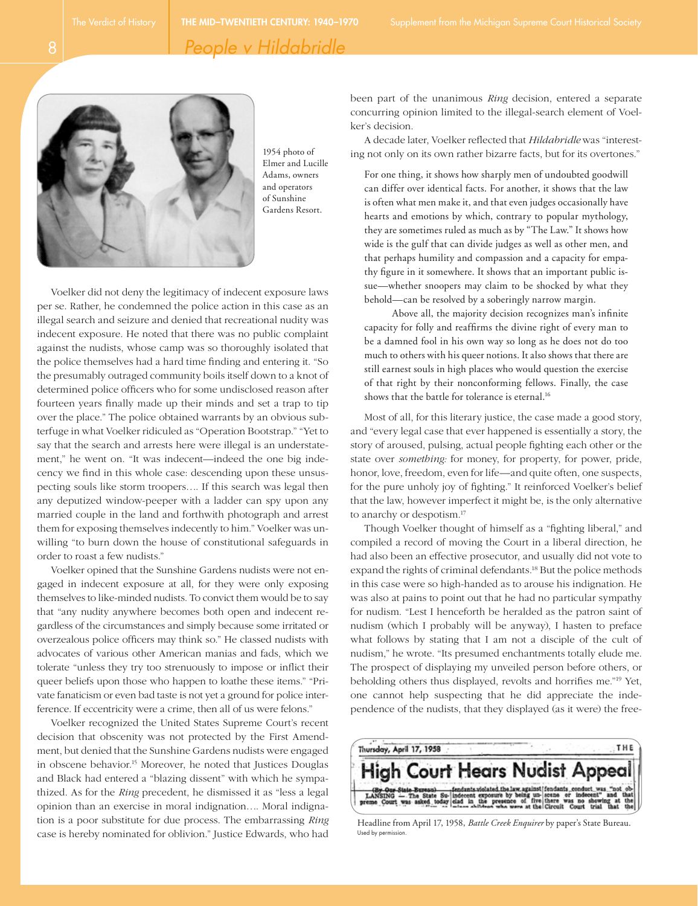

1954 photo of Elmer and Lucille Adams, owners and operators of Sunshine Gardens Resort.

Voelker did not deny the legitimacy of indecent exposure laws per se. Rather, he condemned the police action in this case as an illegal search and seizure and denied that recreational nudity was indecent exposure. He noted that there was no public complaint against the nudists, whose camp was so thoroughly isolated that the police themselves had a hard time finding and entering it. "So the presumably outraged community boils itself down to a knot of determined police officers who for some undisclosed reason after fourteen years finally made up their minds and set a trap to tip over the place." The police obtained warrants by an obvious subterfuge in what Voelker ridiculed as "Operation Bootstrap." "Yet to say that the search and arrests here were illegal is an understatement," he went on. "It was indecent—indeed the one big indecency we find in this whole case: descending upon these unsuspecting souls like storm troopers…. If this search was legal then any deputized window-peeper with a ladder can spy upon any married couple in the land and forthwith photograph and arrest them for exposing themselves indecently to him." Voelker was unwilling "to burn down the house of constitutional safeguards in order to roast a few nudists."

Voelker opined that the Sunshine Gardens nudists were not engaged in indecent exposure at all, for they were only exposing themselves to like-minded nudists. To convict them would be to say that "any nudity anywhere becomes both open and indecent regardless of the circumstances and simply because some irritated or overzealous police officers may think so." He classed nudists with advocates of various other American manias and fads, which we tolerate "unless they try too strenuously to impose or inflict their queer beliefs upon those who happen to loathe these items." "Private fanaticism or even bad taste is not yet a ground for police interference. If eccentricity were a crime, then all of us were felons."

Voelker recognized the United States Supreme Court's recent decision that obscenity was not protected by the First Amendment, but denied that the Sunshine Gardens nudists were engaged in obscene behavior.15 Moreover, he noted that Justices Douglas and Black had entered a "blazing dissent" with which he sympathized. As for the *Ring* precedent, he dismissed it as "less a legal opinion than an exercise in moral indignation…. Moral indignation is a poor substitute for due process. The embarrassing *Ring* case is hereby nominated for oblivion." Justice Edwards, who had been part of the unanimous *Ring* decision, entered a separate concurring opinion limited to the illegal-search element of Voelker's decision.

A decade later, Voelker reflected that *Hildabridle* was "interesting not only on its own rather bizarre facts, but for its overtones."

For one thing, it shows how sharply men of undoubted goodwill can differ over identical facts. For another, it shows that the law is often what men make it, and that even judges occasionally have hearts and emotions by which, contrary to popular mythology, they are sometimes ruled as much as by "The Law." It shows how wide is the gulf that can divide judges as well as other men, and that perhaps humility and compassion and a capacity for empathy figure in it somewhere. It shows that an important public issue—whether snoopers may claim to be shocked by what they behold—can be resolved by a soberingly narrow margin.

Above all, the majority decision recognizes man's infinite capacity for folly and reaffirms the divine right of every man to be a damned fool in his own way so long as he does not do too much to others with his queer notions. It also shows that there are still earnest souls in high places who would question the exercise of that right by their nonconforming fellows. Finally, the case shows that the battle for tolerance is eternal.<sup>16</sup>

Most of all, for this literary justice, the case made a good story, and "every legal case that ever happened is essentially a story, the story of aroused, pulsing, actual people fighting each other or the state over *something:* for money, for property, for power, pride, honor, love, freedom, even for life—and quite often, one suspects, for the pure unholy joy of fighting." It reinforced Voelker's belief that the law, however imperfect it might be, is the only alternative to anarchy or despotism.17

Though Voelker thought of himself as a "fighting liberal," and compiled a record of moving the Court in a liberal direction, he had also been an effective prosecutor, and usually did not vote to expand the rights of criminal defendants.18 But the police methods in this case were so high-handed as to arouse his indignation. He was also at pains to point out that he had no particular sympathy for nudism. "Lest I henceforth be heralded as the patron saint of nudism (which I probably will be anyway), I hasten to preface what follows by stating that I am not a disciple of the cult of nudism," he wrote. "Its presumed enchantments totally elude me. The prospect of displaying my unveiled person before others, or beholding others thus displayed, revolts and horrifies me."19 Yet, one cannot help suspecting that he did appreciate the independence of the nudists, that they displayed (as it were) the free-



Headline from April 17, 1958, *Battle Creek Enquirer* by paper's State Bureau. Used by permis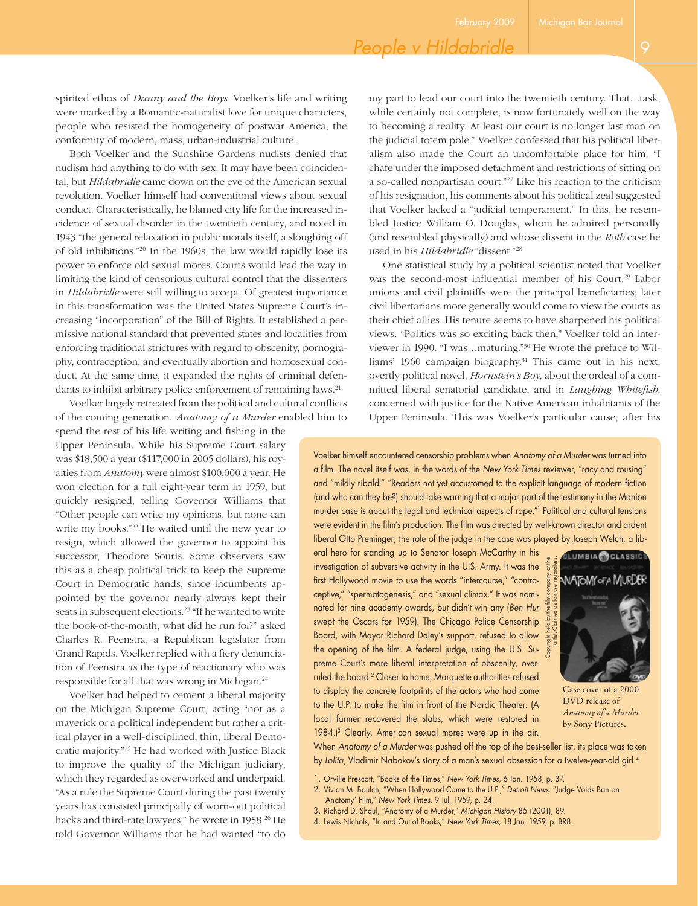spirited ethos of *Danny and the Boys.* Voelker's life and writing were marked by a Romantic-naturalist love for unique characters, people who resisted the homogeneity of postwar America, the conformity of modern, mass, urban-industrial culture.

Both Voelker and the Sunshine Gardens nudists denied that nudism had anything to do with sex. It may have been coincidental, but *Hildabridle* came down on the eve of the American sexual revolution. Voelker himself had conventional views about sexual conduct. Characteristically, he blamed city life for the increased incidence of sexual disorder in the twentieth century, and noted in 1943 "the general relaxation in public morals itself, a sloughing off of old inhibitions."20 In the 1960s, the law would rapidly lose its power to enforce old sexual mores. Courts would lead the way in limiting the kind of censorious cultural control that the dissenters in *Hildabridle* were still willing to accept. Of greatest importance in this transformation was the United States Supreme Court's increasing "incorporation" of the Bill of Rights. It established a permissive national standard that prevented states and localities from enforcing traditional strictures with regard to obscenity, pornography, contraception, and eventually abortion and homosexual conduct. At the same time, it expanded the rights of criminal defendants to inhibit arbitrary police enforcement of remaining laws.<sup>21</sup>

Voelker largely retreated from the political and cultural conflicts of the coming generation. *Anatomy of a Murder* enabled him to

spend the rest of his life writing and fishing in the Upper Peninsula. While his Supreme Court salary was \$18,500 a year (\$117,000 in 2005 dollars), his royalties from *Anatomy* were almost \$100,000 a year. He won election for a full eight-year term in 1959, but quickly resigned, telling Governor Williams that "Other people can write my opinions, but none can write my books."22 He waited until the new year to resign, which allowed the governor to appoint his successor, Theodore Souris. Some observers saw this as a cheap political trick to keep the Supreme Court in Democratic hands, since incumbents appointed by the governor nearly always kept their seats in subsequent elections.<sup>23</sup> "If he wanted to write the book-of-the-month, what did he run for?" asked Charles R. Feenstra, a Republican legislator from Grand Rapids. Voelker replied with a fiery denunciation of Feenstra as the type of reactionary who was responsible for all that was wrong in Michigan.<sup>24</sup>

Voelker had helped to cement a liberal majority on the Michigan Supreme Court, acting "not as a maverick or a political independent but rather a critical player in a well-disciplined, thin, liberal Democratic majority."25 He had worked with Justice Black to improve the quality of the Michigan judiciary, which they regarded as overworked and underpaid. "As a rule the Supreme Court during the past twenty years has consisted principally of worn-out political hacks and third-rate lawyers," he wrote in 1958.<sup>26</sup> He told Governor Williams that he had wanted "to do

my part to lead our court into the twentieth century. That…task, while certainly not complete, is now fortunately well on the way to becoming a reality. At least our court is no longer last man on the judicial totem pole." Voelker confessed that his political liberalism also made the Court an uncomfortable place for him. "I chafe under the imposed detachment and restrictions of sitting on a so-called nonpartisan court."27 Like his reaction to the criticism of his resignation, his comments about his political zeal suggested that Voelker lacked a "judicial temperament." In this, he resembled Justice William O. Douglas, whom he admired personally (and resembled physically) and whose dissent in the *Roth* case he used in his *Hildabridle* "dissent."28

One statistical study by a political scientist noted that Voelker was the second-most influential member of his Court.<sup>29</sup> Labor unions and civil plaintiffs were the principal beneficiaries; later civil libertarians more generally would come to view the courts as their chief allies. His tenure seems to have sharpened his political views. "Politics was so exciting back then," Voelker told an interviewer in 1990. "I was…maturing."30 He wrote the preface to Williams' 1960 campaign biography.31 This came out in his next, overtly political novel, *Hornstein's Boy,* about the ordeal of a committed liberal senatorial candidate, and in *Laughing Whitefish,*  concerned with justice for the Native American inhabitants of the Upper Peninsula. This was Voelker's particular cause; after his

Voelker himself encountered censorship problems when *Anatomy of a Murder* was turned into a film. The novel itself was, in the words of the *New York Times* reviewer, "racy and rousing" and "mildly ribald." "Readers not yet accustomed to the explicit language of modern fiction (and who can they be?) should take warning that a major part of the testimony in the Manion murder case is about the legal and technical aspects of rape."1 Political and cultural tensions were evident in the film's production. The film was directed by well-known director and ardent liberal Otto Preminger; the role of the judge in the case was played by Joseph Welch, a lib-

eral hero for standing up to Senator Joseph McCarthy in his investigation of subversive activity in the U.S. Army. It was the first Hollywood movie to use the words "intercourse," "contraceptive," "spermatogenesis," and "sexual climax." It was nominated for nine academy awards, but didn't win any (*Ben Hur* swept the Oscars for 1959). The Chicago Police Censorship Board, with Mayor Richard Daley's support, refused to allow the opening of the film. A federal judge, using the U.S. Supreme Court's more liberal interpretation of obscenity, overruled the board.2 Closer to home, Marquette authorities refused to display the concrete footprints of the actors who had come to the U.P. to make the film in front of the Nordic Theater. (A local farmer recovered the slabs, which were restored in 1984.)<sup>3</sup> Clearly, American sexual mores were up in the air. investigation of subversive activity in the U.S. Army. It was the  $\frac{2}{5}$  for first Hollywood movie to use the words "intercourse," "contra-<br>ceptive," "spermatogenesis," and "sexual climax." It was nominated for nine aca



Case cover of a 2000 DVD release of *Anatomy of a Murder* by Sony Pictures.

When *Anatomy of a Murder* was pushed off the top of the best-seller list, its place was taken by *Lolita¸* Vladimir Nabokov's story of a man's sexual obsession for a twelve-year-old girl.4

- 1. Orville Prescott, "Books of the Times," *New York Times,* 6 Jan. 1958, p. 37.
- 2. Vivian M. Baulch, "When Hollywood Came to the U.P.," *Detroit News;* "Judge Voids Ban on 'Anatomy' Film," *New York Times,* 9 Jul. 1959, p. 24.
- 3. Richard D. Shaul, "Anatomy of a Murder," *Michigan History* 85 (2001), 89.
-